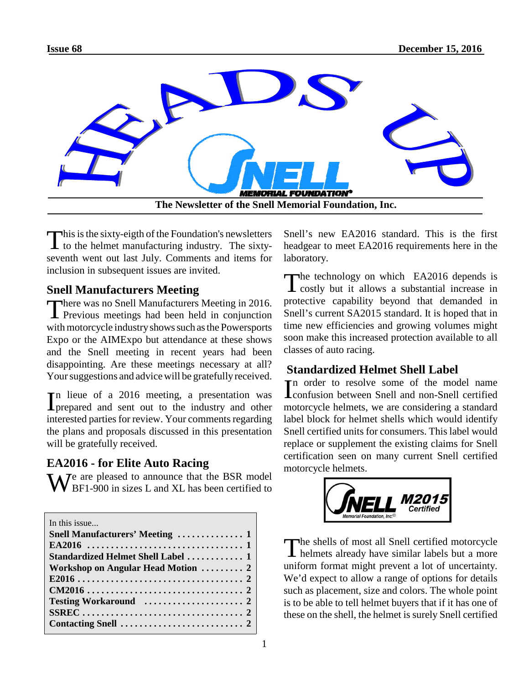

This is the sixty-eigth of the Foundation's newsletters<br>to the helmet manufacturing industry. The sixty-I to the helmet manufacturing industry. The sixtyseventh went out last July. Comments and items for inclusion in subsequent issues are invited.

## **Snell Manufacturers Meeting**

There was no Snell Manufacturers Meeting in 2016.<br>Previous meetings had been held in conjunction Previous meetings had been held in conjunction with motorcycle industry shows such as the Powersports Expo or the AIMExpo but attendance at these shows and the Snell meeting in recent years had been disappointing. Are these meetings necessary at all? Your suggestions and advice will be gratefully received.

In lieue of a 2016 meeting, a presentation was<br>prepared and sent out to the industry and other prepared and sent out to the industry and other interested parties for review. Your comments regarding the plans and proposals discussed in this presentation will be gratefully received.

## **EA2016 - for Elite Auto Racing**

The are pleased to announce that the BSR model BF1-900 in sizes L and XL has been certified to

In this issue.

| Snell Manufacturers' Meeting  1                                                     |
|-------------------------------------------------------------------------------------|
|                                                                                     |
| Standardized Helmet Shell Label  1                                                  |
| Workshop on Angular Head Motion  2                                                  |
|                                                                                     |
|                                                                                     |
|                                                                                     |
|                                                                                     |
| Contacting Snell $\ldots \ldots \ldots \ldots \ldots \ldots \ldots \ldots \ldots$ 2 |

Snell's new EA2016 standard. This is the first headgear to meet EA2016 requirements here in the laboratory.

The technology on which EA2016 depends is<br>
costly but it allows a substantial increase in The technology on which EA2016 depends is protective capability beyond that demanded in Snell's current SA2015 standard. It is hoped that in time new efficiencies and growing volumes might soon make this increased protection available to all classes of auto racing.

# **Standardized Helmet Shell Label**

In order to resolve some of the model name<br>confusion between Snell and non-Snell certified n order to resolve some of the model name motorcycle helmets, we are considering a standard label block for helmet shells which would identify Snell certified units for consumers. This label would replace or supplement the existing claims for Snell certification seen on many current Snell certified motorcycle helmets.



The shells of most all Snell certified motorcycle<br>helmets already have similar labels but a more The shells of most all Snell certified motorcycle uniform format might prevent a lot of uncertainty. We'd expect to allow a range of options for details such as placement, size and colors. The whole point is to be able to tell helmet buyers that if it has one of these on the shell, the helmet is surely Snell certified